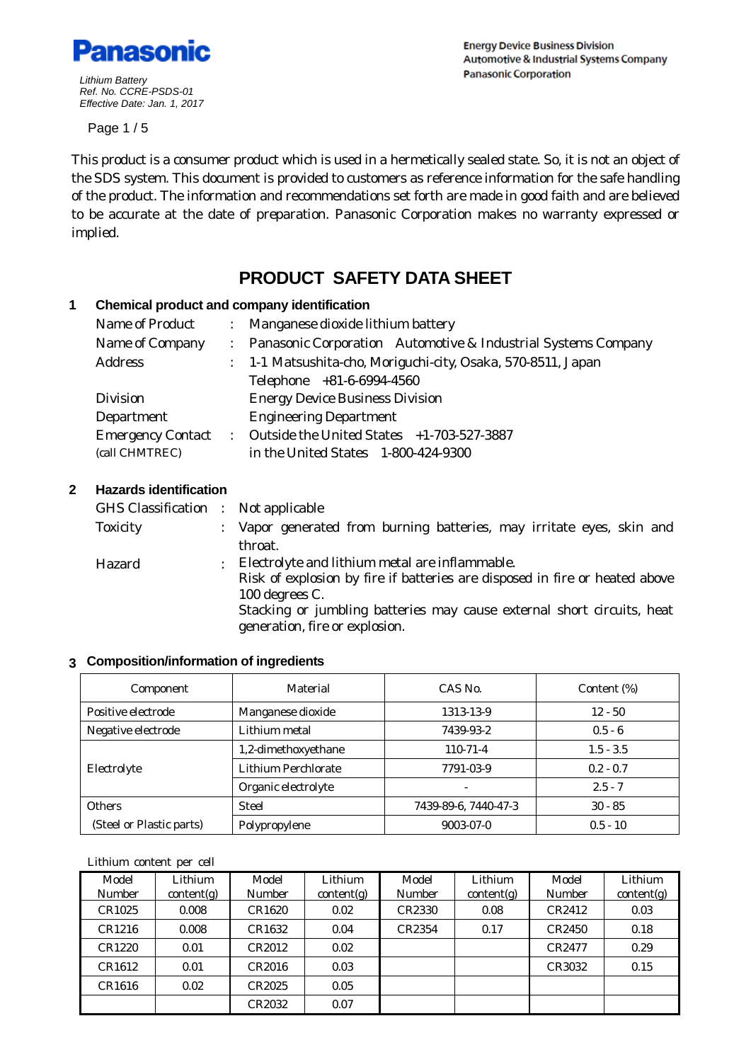

**Energy Device Business Division Automotive & Industrial Systems Company Panasonic Corporation** 

Page 1 / 5

This product is a consumer product which is used in a hermetically sealed state. So, it is not an object of the SDS system. This document is provided to customers as reference information for the safe handling of the product. The information and recommendations set forth are made in good faith and are believed to be accurate at the date of preparation. Panasonic Corporation makes no warranty expressed or implied.

# **PRODUCT SAFETY DATA SHEET**

#### **1 Chemical product and company identification**

| Name of Product          |               | : Manganese dioxide lithium battery                             |  |  |
|--------------------------|---------------|-----------------------------------------------------------------|--|--|
| Name of Company          |               | : Panasonic Corporation Automotive & Industrial Systems Company |  |  |
| <b>Address</b>           |               | : 1-1 Matsushita-cho, Moriguchi-city, Osaka, 570-8511, Japan    |  |  |
|                          |               | Telephone +81-6-6994-4560                                       |  |  |
| <b>Division</b>          |               | <b>Energy Device Business Division</b>                          |  |  |
| Department               |               | <b>Engineering Department</b>                                   |  |  |
| <b>Emergency Contact</b> | $\mathcal{L}$ | Outside the United States +1-703-527-3887                       |  |  |
| (call CHMTREC)           |               | in the United States 1-800-424-9300                             |  |  |

## **2 Hazards identification**

| GHS Classification : Not applicable |               |                                                                             |
|-------------------------------------|---------------|-----------------------------------------------------------------------------|
| <b>Toxicity</b>                     |               | : Vapor generated from burning batteries, may irritate eyes, skin and       |
|                                     |               | throat.                                                                     |
| Hazard                              | $\mathcal{L}$ | Electrolyte and lithium metal are inflammable.                              |
|                                     |               | Risk of explosion by fire if batteries are disposed in fire or heated above |
|                                     |               | 100 degrees C.                                                              |
|                                     |               | Stacking or jumbling batteries may cause external short circuits, heat      |
|                                     |               | generation, fire or explosion.                                              |

#### **3 Composition/information of ingredients**

| Component                                 | Material            | CAS No.              | Content (%) |
|-------------------------------------------|---------------------|----------------------|-------------|
| Positive electrode                        | Manganese dioxide   | 1313-13-9            | $12 - 50$   |
| Negative electrode                        | Lithium metal       | 7439-93-2            | $0.5 - 6$   |
|                                           | 1,2-dimethoxyethane | $110-71-4$           | $1.5 - 3.5$ |
| Electrolyte                               | Lithium Perchlorate | 7791-03-9            | $0.2 - 0.7$ |
|                                           | Organic electrolyte |                      | $2.5 - 7$   |
| <b>Others</b>                             | <b>Steel</b>        | 7439-89-6, 7440-47-3 | $30 - 85$   |
| (Steel or Plastic parts)<br>Polypropylene |                     | 9003-07-0            | $0.5 - 10$  |

#### Lithium content per cell

| Model<br>Number | Lithium<br>content(g) | Model<br>Number | Lithium<br>content(g) | Model<br>Number | Lithium<br>content(g) | Model<br>Number | Lithium<br>content(g) |
|-----------------|-----------------------|-----------------|-----------------------|-----------------|-----------------------|-----------------|-----------------------|
| CR1025          | 0.008                 | CR1620          | 0.02                  | CR2330          | 0.08                  | CR2412          | 0.03                  |
| CR1216          | 0.008                 | CR1632          | 0.04                  | CR2354          | 0.17                  | CR2450          | 0.18                  |
| CR1220          | 0.01                  | CR2012          | 0.02                  |                 |                       | CR2477          | 0.29                  |
| CR1612          | 0.01                  | CR2016          | 0.03                  |                 |                       | CR3032          | 0.15                  |
| CR1616          | 0.02                  | CR2025          | 0.05                  |                 |                       |                 |                       |
|                 |                       | CR2032          | 0.07                  |                 |                       |                 |                       |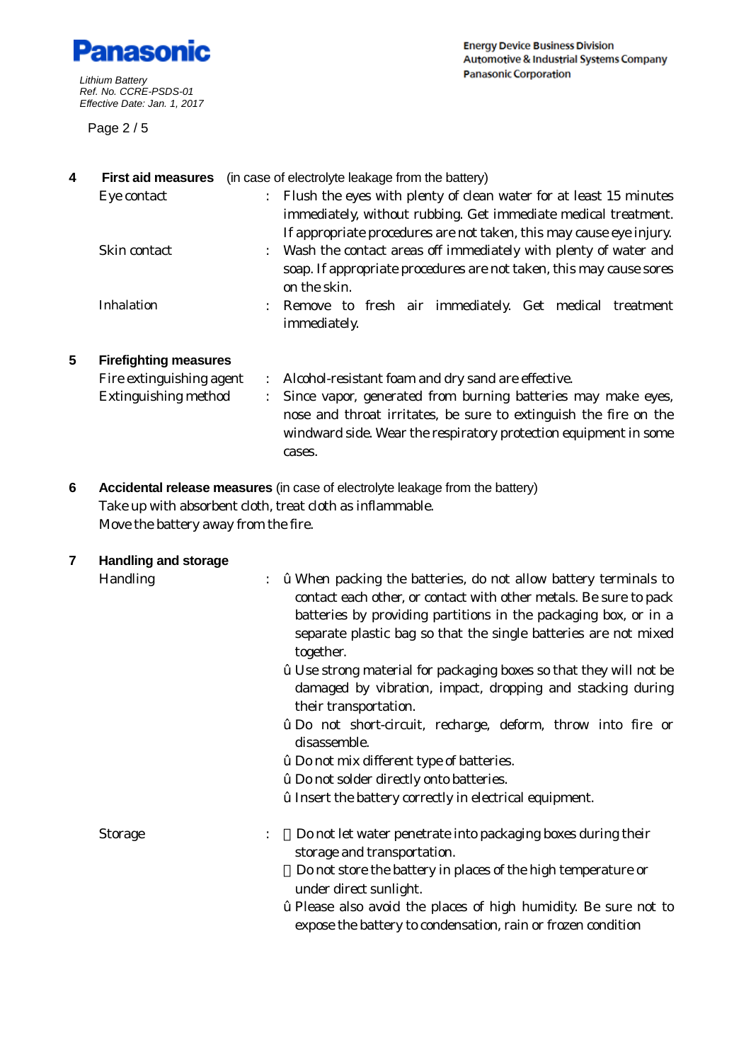

Page 2 / 5

| 4 | <b>First aid measures</b>    |                      | (in case of electrolyte leakage from the battery)                                                                                                                                                              |
|---|------------------------------|----------------------|----------------------------------------------------------------------------------------------------------------------------------------------------------------------------------------------------------------|
|   | Eye contact                  |                      | Flush the eyes with plenty of clean water for at least 15 minutes<br>immediately, without rubbing. Get immediate medical treatment.<br>If appropriate procedures are not taken, this may cause eye injury.     |
|   | Skin contact                 |                      | : Wash the contact areas off immediately with plenty of water and<br>soap. If appropriate procedures are not taken, this may cause sores<br>on the skin.                                                       |
|   | <b>Inhalation</b>            |                      | Remove to fresh air immediately. Get medical treatment<br>immediately.                                                                                                                                         |
| 5 | <b>Firefighting measures</b> |                      |                                                                                                                                                                                                                |
|   | Fire extinguishing agent     | $\ddot{\phantom{0}}$ | Alcohol-resistant foam and dry sand are effective.                                                                                                                                                             |
|   | <b>Extinguishing method</b>  |                      | Since vapor, generated from burning batteries may make eyes,<br>nose and throat irritates, be sure to extinguish the fire on the<br>windward side. Wear the respiratory protection equipment in some<br>cases. |

**6 Accidental release measures** (in case of electrolyte leakage from the battery) Take up with absorbent cloth, treat cloth as inflammable. Move the battery away from the fire.

| 7 | <b>Handling and storage</b> |                                                                                                                                                                                                                                                                                                                                                                                                                                                                                                                                                                                                               |
|---|-----------------------------|---------------------------------------------------------------------------------------------------------------------------------------------------------------------------------------------------------------------------------------------------------------------------------------------------------------------------------------------------------------------------------------------------------------------------------------------------------------------------------------------------------------------------------------------------------------------------------------------------------------|
|   | Handling                    | <i>i</i> When packing the batteries, do not allow battery terminals to<br>contact each other, or contact with other metals. Be sure to pack<br>batteries by providing partitions in the packaging box, or in a<br>separate plastic bag so that the single batteries are not mixed<br>together.<br><i>i</i> Use strong material for packaging boxes so that they will not be<br>damaged by vibration, impact, dropping and stacking during<br>their transportation.<br><b>ž</b> Do not short-circuit, recharge, deform, throw into fire or<br>disassemble.<br><i>i</i> Do not mix different type of batteries. |
|   |                             | <i>i</i> Do not solder directly onto batteries.                                                                                                                                                                                                                                                                                                                                                                                                                                                                                                                                                               |
|   |                             | <i>i</i> Insert the battery correctly in electrical equipment.                                                                                                                                                                                                                                                                                                                                                                                                                                                                                                                                                |
|   | <b>Storage</b>              | Do not let water penetrate into packaging boxes during their<br>$\ddot{\cdot}$<br>storage and transportation.                                                                                                                                                                                                                                                                                                                                                                                                                                                                                                 |
|   |                             | Do not store the battery in places of the high temperature or<br>under direct sunlight.                                                                                                                                                                                                                                                                                                                                                                                                                                                                                                                       |
|   |                             | <i>i</i> Please also avoid the places of high humidity. Be sure not to<br>expose the battery to condensation, rain or frozen condition                                                                                                                                                                                                                                                                                                                                                                                                                                                                        |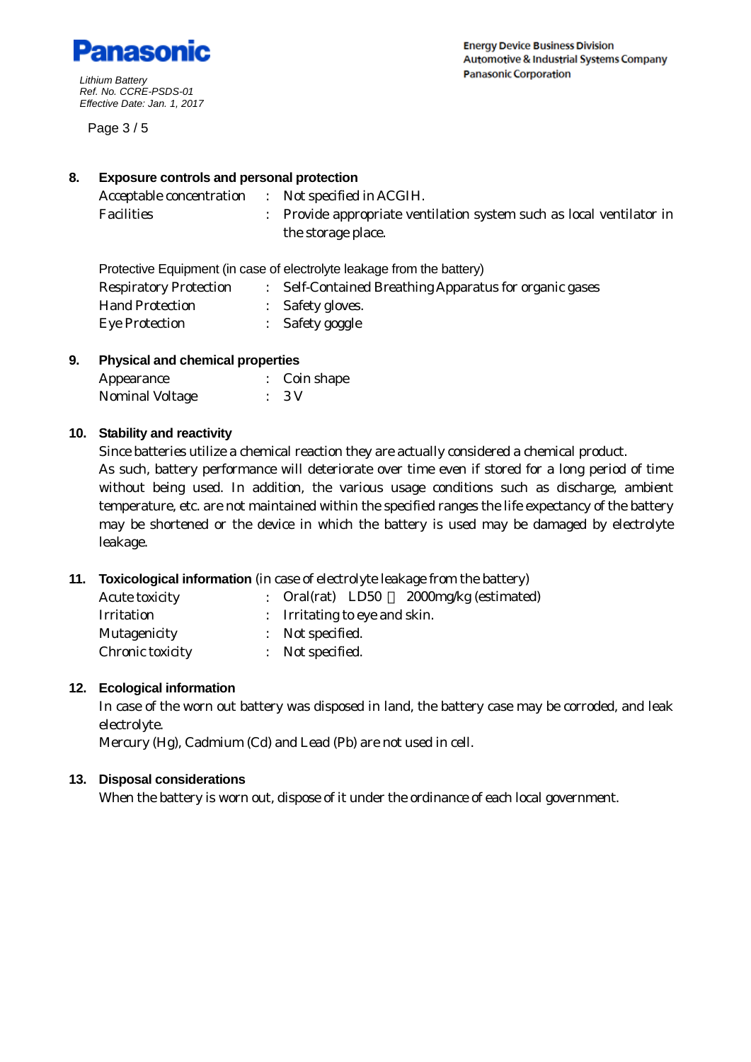

Page 3 / 5

## **8. Exposure controls and personal protection**

| Acceptable concentration : Not specified in ACGIH. |                                                                      |
|----------------------------------------------------|----------------------------------------------------------------------|
| Facilities                                         | : Provide appropriate ventilation system such as local ventilator in |
|                                                    | the storage place.                                                   |

Protective Equipment (in case of electrolyte leakage from the battery)

| <b>Respiratory Protection</b> | Self-Contained Breathing Apparatus for organic gases |
|-------------------------------|------------------------------------------------------|
| <b>Hand Protection</b>        | : Safety gloves.                                     |
| <b>Eye Protection</b>         | Safety goggle                                        |

# **9. Physical and chemical properties**

| Appearance      | $\therefore$ Coin shape |
|-----------------|-------------------------|
| Nominal Voltage | $\therefore$ 3 V        |

## **10. Stability and reactivity**

Since batteries utilize a chemical reaction they are actually considered a chemical product. As such, battery performance will deteriorate over time even if stored for a long period of time without being used. In addition, the various usage conditions such as discharge, ambient temperature, etc. are not maintained within the specified ranges the life expectancy of the battery may be shortened or the device in which the battery is used may be damaged by electrolyte leakage.

## **11. Toxicological information** (in case of electrolyte leakage from the battery)

| <b>Acute toxicity</b> | 2000mg/kg (estimated)<br>: Oral(rat) LD50 |
|-----------------------|-------------------------------------------|
| <b>Irritation</b>     | : Irritating to eye and skin.             |
| Mutagenicity          | : Not specified.                          |
| Chronic toxicity      | : Not specified.                          |
|                       |                                           |

## **12. Ecological information**

In case of the worn out battery was disposed in land, the battery case may be corroded, and leak electrolyte.

Mercury (Hg), Cadmium (Cd) and Lead (Pb) are not used in cell.

## **13. Disposal considerations**

When the battery is worn out, dispose of it under the ordinance of each local government.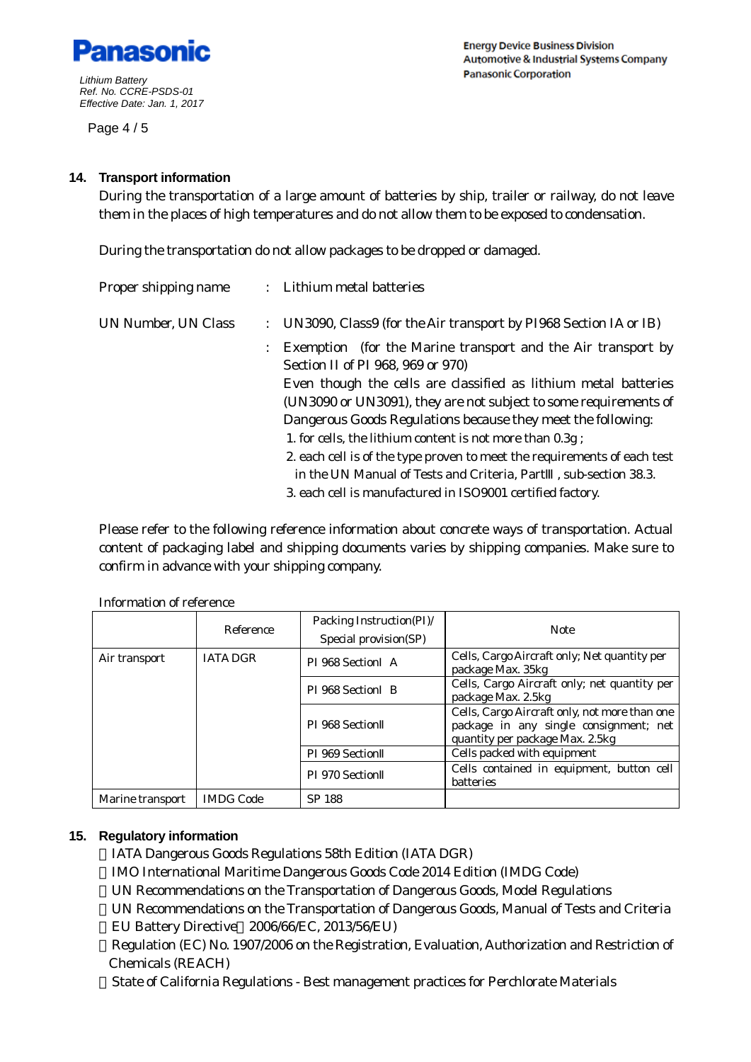

Page 4 / 5

**Energy Device Business Division Automotive & Industrial Systems Company Panasonic Corporation** 

#### **14. Transport information**

During the transportation of a large amount of batteries by ship, trailer or railway, do not leave them in the places of high temperatures and do not allow them to be exposed to condensation.

During the transportation do not allow packages to be dropped or damaged.

| Proper shipping name |  | : Lithium metal batteries                                                |
|----------------------|--|--------------------------------------------------------------------------|
| UN Number, UN Class  |  | : UN3090, Class9 (for the Air transport by PI968 Section IA or IB)       |
|                      |  | Exemption (for the Marine transport and the Air transport by             |
|                      |  | Section II of PI 968, 969 or 970)                                        |
|                      |  | Even though the cells are classified as lithium metal batteries          |
|                      |  | (UN3090 or UN3091), they are not subject to some requirements of         |
|                      |  | Dangerous Goods Regulations because they meet the following:             |
|                      |  | 1. for cells, the lithium content is not more than 0.3g;                 |
|                      |  | 2. each cell is of the type proven to meet the requirements of each test |
|                      |  | in the UN Manual of Tests and Criteria, Part, sub-section 38.3.          |
|                      |  | 3. each cell is manufactured in ISO9001 certified factory.               |

Please refer to the following reference information about concrete ways of transportation. Actual content of packaging label and shipping documents varies by shipping companies. Make sure to confirm in advance with your shipping company.

|                  | Reference        | Packing Instruction(PI)/<br>Special provision(SP) | <b>Note</b>                                                                                                                |  |  |  |
|------------------|------------------|---------------------------------------------------|----------------------------------------------------------------------------------------------------------------------------|--|--|--|
| Air transport    | <b>IATA DGR</b>  | PI 968 Section A                                  | Cells, Cargo Aircraft only; Net quantity per<br>package Max. 35kg                                                          |  |  |  |
|                  |                  | PI 968 Section B                                  | Cells, Cargo Aircraft only; net quantity per<br>package Max. 2.5kg                                                         |  |  |  |
|                  |                  | PI 968 Section                                    | Cells, Cargo Aircraft only, not more than one<br>package in any single consignment; net<br>quantity per package Max. 2.5kg |  |  |  |
|                  |                  | PI 969 Section                                    | Cells packed with equipment                                                                                                |  |  |  |
|                  |                  | PI 970 Section                                    | Cells contained in equipment, button cell<br>batteries                                                                     |  |  |  |
| Marine transport | <b>IMDG Code</b> | <b>SP 188</b>                                     |                                                                                                                            |  |  |  |

Information of reference

#### **15. Regulatory information**

IATA Dangerous Goods Regulations 58th Edition (IATA DGR) IMO International Maritime Dangerous Goods Code 2014 Edition (IMDG Code) UN Recommendations on the Transportation of Dangerous Goods, Model Regulations UN Recommendations on the Transportation of Dangerous Goods, Manual of Tests and Criteria EU Battery Directive 2006/66/EC, 2013/56/EU)

Regulation (EC) No. 1907/2006 on the Registration, Evaluation, Authorization and Restriction of Chemicals (REACH)

State of California Regulations - Best management practices for Perchlorate Materials